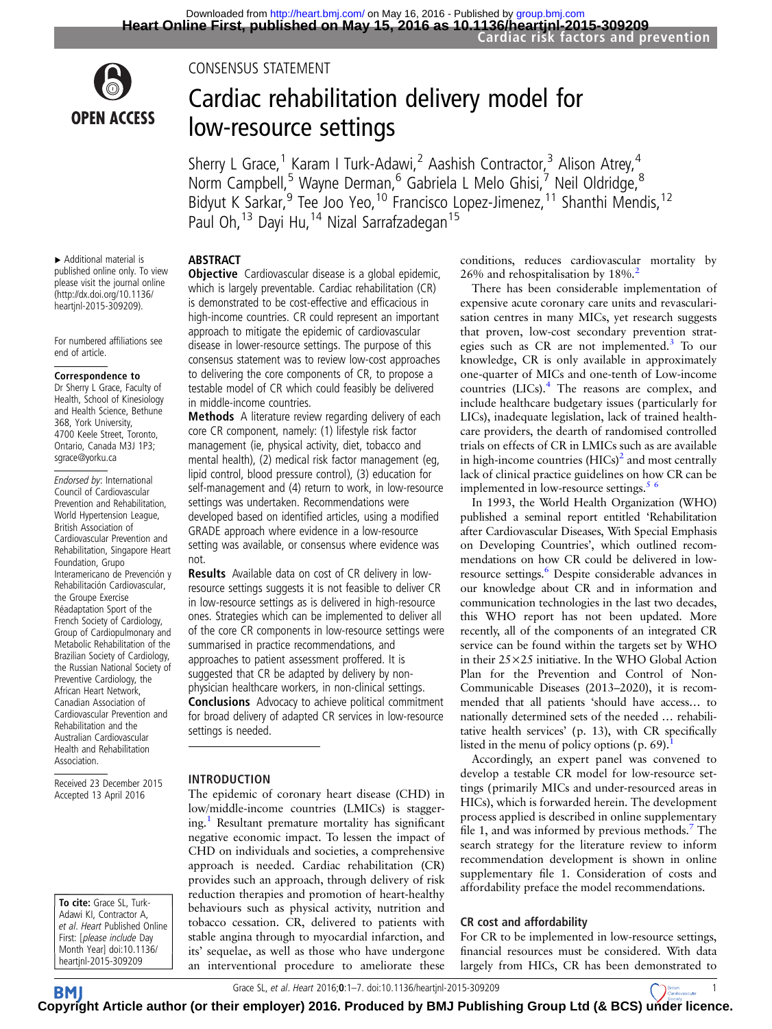

# CONSENSUS STATEMENT

# Cardiac rehabilitation delivery model for low-resource settings

Sherry L Grace,<sup>1</sup> Karam I Turk-Adawi,<sup>2</sup> Aashish Contractor,<sup>3</sup> Alison Atrey,<sup>4</sup> Norm Campbell,<sup>5</sup> Wayne Derman,<sup>6</sup> Gabriela L Melo Ghisi,<sup>7</sup> Neil Oldridge,<sup>8</sup> Bidyut K Sarkar,<sup>9</sup> Tee Joo Yeo,<sup>10</sup> Francisco Lopez-Jimenez,<sup>11</sup> Shanthi Mendis,<sup>12</sup> Paul Oh,<sup>13</sup> Dayi Hu,<sup>14</sup> Nizal Sarrafzadegan<sup>15</sup>

▸ Additional material is published online only. To view please visit the journal online [\(http://dx.doi.org/10.1136/](http://dx.doi.org/10.1136/heartjnl-2015-309209) [heartjnl-2015-309209](http://dx.doi.org/10.1136/heartjnl-2015-309209)).

For numbered affiliations see end of article.

#### Correspondence to

Dr Sherry L Grace, Faculty of Health, School of Kinesiology and Health Science, Bethune 368, York University, 4700 Keele Street, Toronto, Ontario, Canada M3J 1P3; sgrace@yorku.ca

Endorsed by: International Council of Cardiovascular Prevention and Rehabilitation, World Hypertension League, British Association of Cardiovascular Prevention and Rehabilitation, Singapore Heart Foundation, Grupo Interamericano de Prevención y Rehabilitación Cardiovascular, the Groupe Exercise Réadaptation Sport of the French Society of Cardiology, Group of Cardiopulmonary and Metabolic Rehabilitation of the Brazilian Society of Cardiology, the Russian National Society of Preventive Cardiology, the African Heart Network, Canadian Association of Cardiovascular Prevention and Rehabilitation and the Australian Cardiovascular Health and Rehabilitation Association.

Received 23 December 2015 Accepted 13 April 2016

To cite: Grace SL, Turk-Adawi KI, Contractor A, et al. Heart Published Online First: [please include Day Month Year] doi:10.1136/ heartjnl-2015-309209

**BM** 

# ABSTRACT

**Objective** Cardiovascular disease is a global epidemic, which is largely preventable. Cardiac rehabilitation (CR) is demonstrated to be cost-effective and efficacious in high-income countries. CR could represent an important approach to mitigate the epidemic of cardiovascular disease in lower-resource settings. The purpose of this consensus statement was to review low-cost approaches to delivering the core components of CR, to propose a testable model of CR which could feasibly be delivered in middle-income countries.

Methods A literature review regarding delivery of each core CR component, namely: (1) lifestyle risk factor management (ie, physical activity, diet, tobacco and mental health), (2) medical risk factor management (eg, lipid control, blood pressure control), (3) education for self-management and (4) return to work, in low-resource settings was undertaken. Recommendations were developed based on identified articles, using a modified GRADE approach where evidence in a low-resource setting was available, or consensus where evidence was not.

Results Available data on cost of CR delivery in lowresource settings suggests it is not feasible to deliver CR in low-resource settings as is delivered in high-resource ones. Strategies which can be implemented to deliver all of the core CR components in low-resource settings were summarised in practice recommendations, and approaches to patient assessment proffered. It is suggested that CR be adapted by delivery by nonphysician healthcare workers, in non-clinical settings. Conclusions Advocacy to achieve political commitment for broad delivery of adapted CR services in low-resource settings is needed.

#### INTRODUCTION

The epidemic of coronary heart disease (CHD) in low/middle-income countries (LMICs) is staggering.[1](#page-6-0) Resultant premature mortality has significant negative economic impact. To lessen the impact of CHD on individuals and societies, a comprehensive approach is needed. Cardiac rehabilitation (CR) provides such an approach, through delivery of risk reduction therapies and promotion of heart-healthy behaviours such as physical activity, nutrition and tobacco cessation. CR, delivered to patients with stable angina through to myocardial infarction, and its' sequelae, as well as those who have undergone an interventional procedure to ameliorate these conditions, reduces cardiovascular mortality by 26% and rehospitalisation by 18%.<sup>2</sup>

There has been considerable implementation of expensive acute coronary care units and revascularisation centres in many MICs, yet research suggests that proven, low-cost secondary prevention strategies such as  $CR$  are not implemented.<sup>[3](#page-6-0)</sup> To our knowledge, CR is only available in approximately one-quarter of MICs and one-tenth of Low-income countries (LICs).<sup>4</sup> The reasons are complex, and include healthcare budgetary issues (particularly for LICs), inadequate legislation, lack of trained healthcare providers, the dearth of randomised controlled trials on effects of CR in LMICs such as are available in high-income countries  $(HICs)^2$  $(HICs)^2$  and most centrally lack of clinical practice guidelines on how CR can be implemented in low-resource settings. $5/6$ 

In 1993, the World Health Organization (WHO) published a seminal report entitled 'Rehabilitation after Cardiovascular Diseases, With Special Emphasis on Developing Countries', which outlined recommendations on how CR could be delivered in lowresource settings.<sup>6</sup> Despite considerable advances in our knowledge about CR and in information and communication technologies in the last two decades, this WHO report has not been updated. More recently, all of the components of an integrated CR service can be found within the targets set by WHO in their 25×25 initiative. In the WHO Global Action Plan for the Prevention and Control of Non-Communicable Diseases (2013–2020), it is recommended that all patients 'should have access… to nationally determined sets of the needed … rehabilitative health services' (p. 13), with CR specifically listed in the menu of policy options  $(p. 69)$ .<sup>[1](#page-6-0)</sup>

Accordingly, an expert panel was convened to develop a testable CR model for low-resource settings (primarily MICs and under-resourced areas in HICs), which is forwarded herein. The development process applied is described in online supplementary file 1, and was informed by previous methods.<sup>[7](#page-6-0)</sup> The search strategy for the literature review to inform recommendation development is shown in online supplementary file 1. Consideration of costs and affordability preface the model recommendations.

#### CR cost and affordability

For CR to be implemented in low-resource settings, financial resources must be considered. With data largely from HICs, CR has been demonstrated to



**C[opyrig](http://heart.bmj.com)ht Article author (or their employer) 2016. Produced by BMJ Publishing Group Ltd (& BCS) [under lic](http://www.bcs.com)ence.**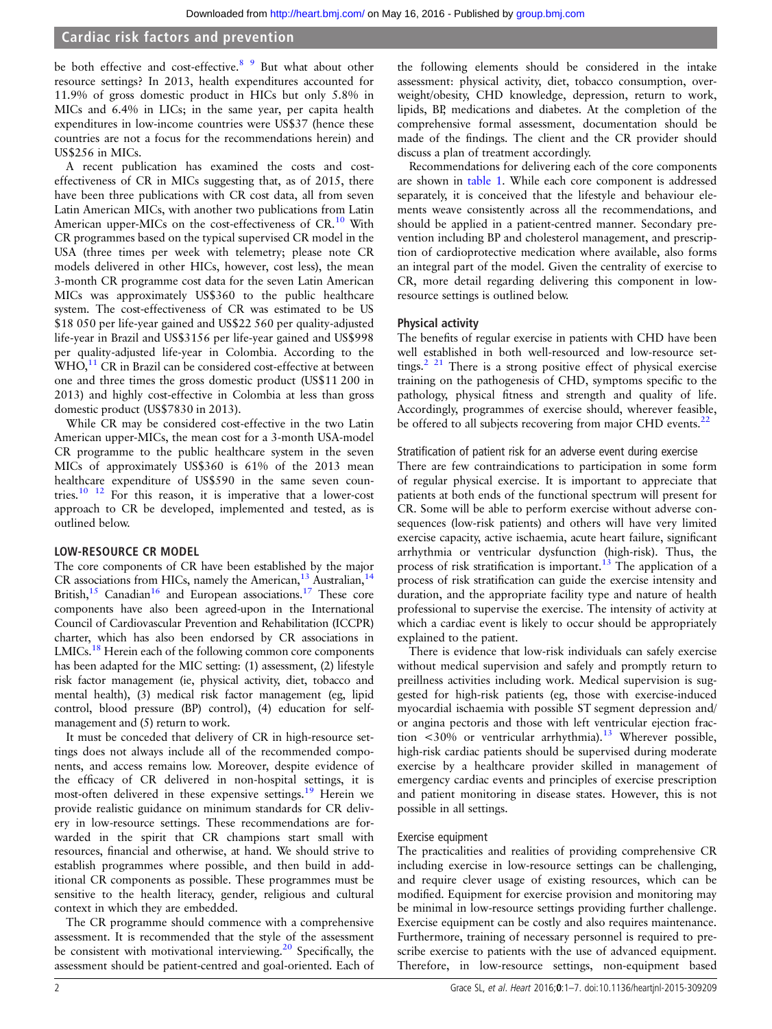be both effective and cost-effective.<sup>8</sup> <sup>9</sup> But what about other resource settings? In 2013, health expenditures accounted for 11.9% of gross domestic product in HICs but only 5.8% in MICs and 6.4% in LICs; in the same year, per capita health expenditures in low-income countries were US\$37 (hence these countries are not a focus for the recommendations herein) and US\$256 in MICs.

A recent publication has examined the costs and costeffectiveness of CR in MICs suggesting that, as of 2015, there have been three publications with CR cost data, all from seven Latin American MICs, with another two publications from Latin American upper-MICs on the cost-effectiveness of  $CR$ .<sup>[10](#page-6-0)</sup> With CR programmes based on the typical supervised CR model in the USA (three times per week with telemetry; please note CR models delivered in other HICs, however, cost less), the mean 3-month CR programme cost data for the seven Latin American MICs was approximately US\$360 to the public healthcare system. The cost-effectiveness of CR was estimated to be US \$18 050 per life-year gained and US\$22 560 per quality-adjusted life-year in Brazil and US\$3156 per life-year gained and US\$998 per quality-adjusted life-year in Colombia. According to the  $WHO<sub>11</sub><sup>11</sup> CR$  $WHO<sub>11</sub><sup>11</sup> CR$  $WHO<sub>11</sub><sup>11</sup> CR$  in Brazil can be considered cost-effective at between one and three times the gross domestic product (US\$11 200 in 2013) and highly cost-effective in Colombia at less than gross domestic product (US\$7830 in 2013).

While CR may be considered cost-effective in the two Latin American upper-MICs, the mean cost for a 3-month USA-model CR programme to the public healthcare system in the seven MICs of approximately US\$360 is 61% of the 2013 mean healthcare expenditure of US\$590 in the same seven coun-tries.<sup>[10 12](#page-6-0)</sup> For this reason, it is imperative that a lower-cost approach to CR be developed, implemented and tested, as is outlined below.

# LOW-RESOURCE CR MODEL

The core components of CR have been established by the major CR associations from HICs, namely the American,  $^{13}$  $^{13}$  $^{13}$  Australian,  $^{14}$ British,<sup>[15](#page-6-0)</sup> Canadian<sup>16</sup> and European associations.<sup>[17](#page-6-0)</sup> These core components have also been agreed-upon in the International Council of Cardiovascular Prevention and Rehabilitation (ICCPR) charter, which has also been endorsed by CR associations in LMICs.<sup>[18](#page-6-0)</sup> Herein each of the following common core components has been adapted for the MIC setting: (1) assessment, (2) lifestyle risk factor management (ie, physical activity, diet, tobacco and mental health), (3) medical risk factor management (eg, lipid control, blood pressure (BP) control), (4) education for selfmanagement and (5) return to work.

It must be conceded that delivery of CR in high-resource settings does not always include all of the recommended components, and access remains low. Moreover, despite evidence of the efficacy of CR delivered in non-hospital settings, it is most-often delivered in these expensive settings.[19](#page-6-0) Herein we provide realistic guidance on minimum standards for CR delivery in low-resource settings. These recommendations are forwarded in the spirit that CR champions start small with resources, financial and otherwise, at hand. We should strive to establish programmes where possible, and then build in additional CR components as possible. These programmes must be sensitive to the health literacy, gender, religious and cultural context in which they are embedded.

The CR programme should commence with a comprehensive assessment. It is recommended that the style of the assessment be consistent with motivational interviewing. $20$  Specifically, the assessment should be patient-centred and goal-oriented. Each of

the following elements should be considered in the intake assessment: physical activity, diet, tobacco consumption, overweight/obesity, CHD knowledge, depression, return to work, lipids, BP, medications and diabetes. At the completion of the comprehensive formal assessment, documentation should be made of the findings. The client and the CR provider should discuss a plan of treatment accordingly.

Recommendations for delivering each of the core components are shown in [table 1.](#page-2-0) While each core component is addressed separately, it is conceived that the lifestyle and behaviour elements weave consistently across all the recommendations, and should be applied in a patient-centred manner. Secondary prevention including BP and cholesterol management, and prescription of cardioprotective medication where available, also forms an integral part of the model. Given the centrality of exercise to CR, more detail regarding delivering this component in lowresource settings is outlined below.

# Physical activity

The benefits of regular exercise in patients with CHD have been well established in both well-resourced and low-resource set-tings.<sup>[2 21](#page-6-0)</sup> There is a strong positive effect of physical exercise training on the pathogenesis of CHD, symptoms specific to the pathology, physical fitness and strength and quality of life. Accordingly, programmes of exercise should, wherever feasible, be offered to all subjects recovering from major CHD events.<sup>[22](#page-6-0)</sup>

#### Stratification of patient risk for an adverse event during exercise

There are few contraindications to participation in some form of regular physical exercise. It is important to appreciate that patients at both ends of the functional spectrum will present for CR. Some will be able to perform exercise without adverse consequences (low-risk patients) and others will have very limited exercise capacity, active ischaemia, acute heart failure, significant arrhythmia or ventricular dysfunction (high-risk). Thus, the process of risk stratification is important.<sup>[13](#page-6-0)</sup> The application of a process of risk stratification can guide the exercise intensity and duration, and the appropriate facility type and nature of health professional to supervise the exercise. The intensity of activity at which a cardiac event is likely to occur should be appropriately explained to the patient.

There is evidence that low-risk individuals can safely exercise without medical supervision and safely and promptly return to preillness activities including work. Medical supervision is suggested for high-risk patients (eg, those with exercise-induced myocardial ischaemia with possible ST segment depression and/ or angina pectoris and those with left ventricular ejection fraction  $\leq 30\%$  or ventricular arrhythmia).<sup>[13](#page-6-0)</sup> Wherever possible, high-risk cardiac patients should be supervised during moderate exercise by a healthcare provider skilled in management of emergency cardiac events and principles of exercise prescription and patient monitoring in disease states. However, this is not possible in all settings.

#### Exercise equipment

The practicalities and realities of providing comprehensive CR including exercise in low-resource settings can be challenging, and require clever usage of existing resources, which can be modified. Equipment for exercise provision and monitoring may be minimal in low-resource settings providing further challenge. Exercise equipment can be costly and also requires maintenance. Furthermore, training of necessary personnel is required to prescribe exercise to patients with the use of advanced equipment. Therefore, in low-resource settings, non-equipment based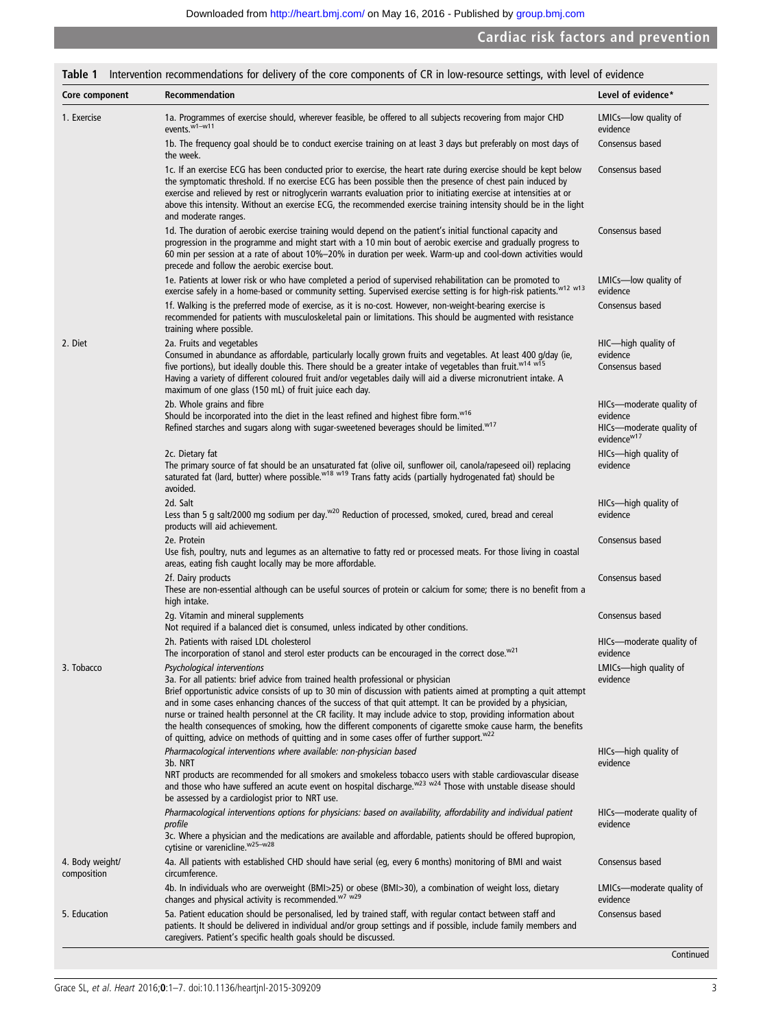<span id="page-2-0"></span>

| Table 1 Intervention recommendations for delivery of the core components of CR in low-resource settings, with level of evidence |                                                                                                                                                                                                                                                                                                                                                                                                                                                                                                                                                                                                                                                                                                  |                                                                 |  |
|---------------------------------------------------------------------------------------------------------------------------------|--------------------------------------------------------------------------------------------------------------------------------------------------------------------------------------------------------------------------------------------------------------------------------------------------------------------------------------------------------------------------------------------------------------------------------------------------------------------------------------------------------------------------------------------------------------------------------------------------------------------------------------------------------------------------------------------------|-----------------------------------------------------------------|--|
| Core component                                                                                                                  | Recommendation                                                                                                                                                                                                                                                                                                                                                                                                                                                                                                                                                                                                                                                                                   | Level of evidence*                                              |  |
| 1. Exercise                                                                                                                     | 1a. Programmes of exercise should, wherever feasible, be offered to all subjects recovering from major CHD<br>events. <sup>W1-w11</sup>                                                                                                                                                                                                                                                                                                                                                                                                                                                                                                                                                          | LMICs-low quality of<br>evidence                                |  |
|                                                                                                                                 | 1b. The frequency goal should be to conduct exercise training on at least 3 days but preferably on most days of<br>the week.                                                                                                                                                                                                                                                                                                                                                                                                                                                                                                                                                                     | Consensus based                                                 |  |
|                                                                                                                                 | 1c. If an exercise ECG has been conducted prior to exercise, the heart rate during exercise should be kept below<br>the symptomatic threshold. If no exercise ECG has been possible then the presence of chest pain induced by<br>exercise and relieved by rest or nitroglycerin warrants evaluation prior to initiating exercise at intensities at or<br>above this intensity. Without an exercise ECG, the recommended exercise training intensity should be in the light<br>and moderate ranges.                                                                                                                                                                                              | Consensus based                                                 |  |
|                                                                                                                                 | 1d. The duration of aerobic exercise training would depend on the patient's initial functional capacity and<br>progression in the programme and might start with a 10 min bout of aerobic exercise and gradually progress to<br>60 min per session at a rate of about 10%-20% in duration per week. Warm-up and cool-down activities would<br>precede and follow the aerobic exercise bout.                                                                                                                                                                                                                                                                                                      | Consensus based                                                 |  |
|                                                                                                                                 | 1e. Patients at lower risk or who have completed a period of supervised rehabilitation can be promoted to<br>exercise safely in a home-based or community setting. Supervised exercise setting is for high-risk patients. <sup>w12 w13</sup>                                                                                                                                                                                                                                                                                                                                                                                                                                                     | LMICs-low quality of<br>evidence                                |  |
|                                                                                                                                 | 1f. Walking is the preferred mode of exercise, as it is no-cost. However, non-weight-bearing exercise is<br>recommended for patients with musculoskeletal pain or limitations. This should be augmented with resistance<br>training where possible.                                                                                                                                                                                                                                                                                                                                                                                                                                              | Consensus based                                                 |  |
| 2. Diet                                                                                                                         | 2a. Fruits and vegetables<br>Consumed in abundance as affordable, particularly locally grown fruits and vegetables. At least 400 g/day (ie,<br>five portions), but ideally double this. There should be a greater intake of vegetables than fruit. <sup>w14 w15</sup><br>Having a variety of different coloured fruit and/or vegetables daily will aid a diverse micronutrient intake. A<br>maximum of one glass (150 mL) of fruit juice each day.                                                                                                                                                                                                                                               | HIC-high quality of<br>evidence<br>Consensus based              |  |
|                                                                                                                                 | 2b. Whole grains and fibre                                                                                                                                                                                                                                                                                                                                                                                                                                                                                                                                                                                                                                                                       | HICs-moderate quality of                                        |  |
|                                                                                                                                 | Should be incorporated into the diet in the least refined and highest fibre form. <sup>w16</sup><br>Refined starches and sugars along with sugar-sweetened beverages should be limited. <sup>w17</sup>                                                                                                                                                                                                                                                                                                                                                                                                                                                                                           | evidence<br>HICs-moderate quality of<br>evidence <sup>w17</sup> |  |
|                                                                                                                                 | 2c. Dietary fat<br>The primary source of fat should be an unsaturated fat (olive oil, sunflower oil, canola/rapeseed oil) replacing<br>saturated fat (lard, butter) where possible. <sup>w18 w19</sup> Trans fatty acids (partially hydrogenated fat) should be<br>avoided.                                                                                                                                                                                                                                                                                                                                                                                                                      | HICs-high quality of<br>evidence                                |  |
|                                                                                                                                 | 2d. Salt<br>Less than 5 g salt/2000 mg sodium per day. <sup>w20</sup> Reduction of processed, smoked, cured, bread and cereal<br>products will aid achievement.                                                                                                                                                                                                                                                                                                                                                                                                                                                                                                                                  | HICs-high quality of<br>evidence                                |  |
|                                                                                                                                 | 2e. Protein<br>Use fish, poultry, nuts and legumes as an alternative to fatty red or processed meats. For those living in coastal<br>areas, eating fish caught locally may be more affordable.                                                                                                                                                                                                                                                                                                                                                                                                                                                                                                   | Consensus based                                                 |  |
|                                                                                                                                 | 2f. Dairy products<br>These are non-essential although can be useful sources of protein or calcium for some; there is no benefit from a<br>high intake.                                                                                                                                                                                                                                                                                                                                                                                                                                                                                                                                          | Consensus based                                                 |  |
|                                                                                                                                 | 2g. Vitamin and mineral supplements<br>Not required if a balanced diet is consumed, unless indicated by other conditions.                                                                                                                                                                                                                                                                                                                                                                                                                                                                                                                                                                        | Consensus based                                                 |  |
|                                                                                                                                 | 2h. Patients with raised LDL cholesterol<br>The incorporation of stanol and sterol ester products can be encouraged in the correct dose. <sup>w21</sup>                                                                                                                                                                                                                                                                                                                                                                                                                                                                                                                                          | HICs-moderate quality of<br>evidence                            |  |
| 3. Tobacco                                                                                                                      | Psychological interventions<br>3a. For all patients: brief advice from trained health professional or physician<br>Brief opportunistic advice consists of up to 30 min of discussion with patients aimed at prompting a quit attempt<br>and in some cases enhancing chances of the success of that quit attempt. It can be provided by a physician,<br>nurse or trained health personnel at the CR facility. It may include advice to stop, providing information about<br>the health consequences of smoking, how the different components of cigarette smoke cause harm, the benefits<br>of quitting, advice on methods of quitting and in some cases offer of further support. <sup>w22</sup> | LMICs-high quality of<br>evidence                               |  |
|                                                                                                                                 | Pharmacological interventions where available: non-physician based<br>3b. NRT                                                                                                                                                                                                                                                                                                                                                                                                                                                                                                                                                                                                                    | HICs—high quality of<br>evidence                                |  |
|                                                                                                                                 | NRT products are recommended for all smokers and smokeless tobacco users with stable cardiovascular disease<br>and those who have suffered an acute event on hospital discharge. <sup>w23 w24</sup> Those with unstable disease should<br>be assessed by a cardiologist prior to NRT use.                                                                                                                                                                                                                                                                                                                                                                                                        |                                                                 |  |
|                                                                                                                                 | Pharmacological interventions options for physicians: based on availability, affordability and individual patient<br>profile                                                                                                                                                                                                                                                                                                                                                                                                                                                                                                                                                                     | HICs-moderate quality of<br>evidence                            |  |
|                                                                                                                                 | 3c. Where a physician and the medications are available and affordable, patients should be offered bupropion,<br>cytisine or varenicline. <sup>w25-w28</sup>                                                                                                                                                                                                                                                                                                                                                                                                                                                                                                                                     |                                                                 |  |
| 4. Body weight/<br>composition                                                                                                  | 4a. All patients with established CHD should have serial (eg, every 6 months) monitoring of BMI and waist<br>circumference.                                                                                                                                                                                                                                                                                                                                                                                                                                                                                                                                                                      | Consensus based                                                 |  |
|                                                                                                                                 | 4b. In individuals who are overweight (BMI>25) or obese (BMI>30), a combination of weight loss, dietary<br>changes and physical activity is recommended. <sup>W7 w29</sup>                                                                                                                                                                                                                                                                                                                                                                                                                                                                                                                       | LMICs—moderate quality of<br>evidence                           |  |
| 5. Education                                                                                                                    | 5a. Patient education should be personalised, led by trained staff, with regular contact between staff and<br>patients. It should be delivered in individual and/or group settings and if possible, include family members and<br>caregivers. Patient's specific health goals should be discussed.                                                                                                                                                                                                                                                                                                                                                                                               | Consensus based                                                 |  |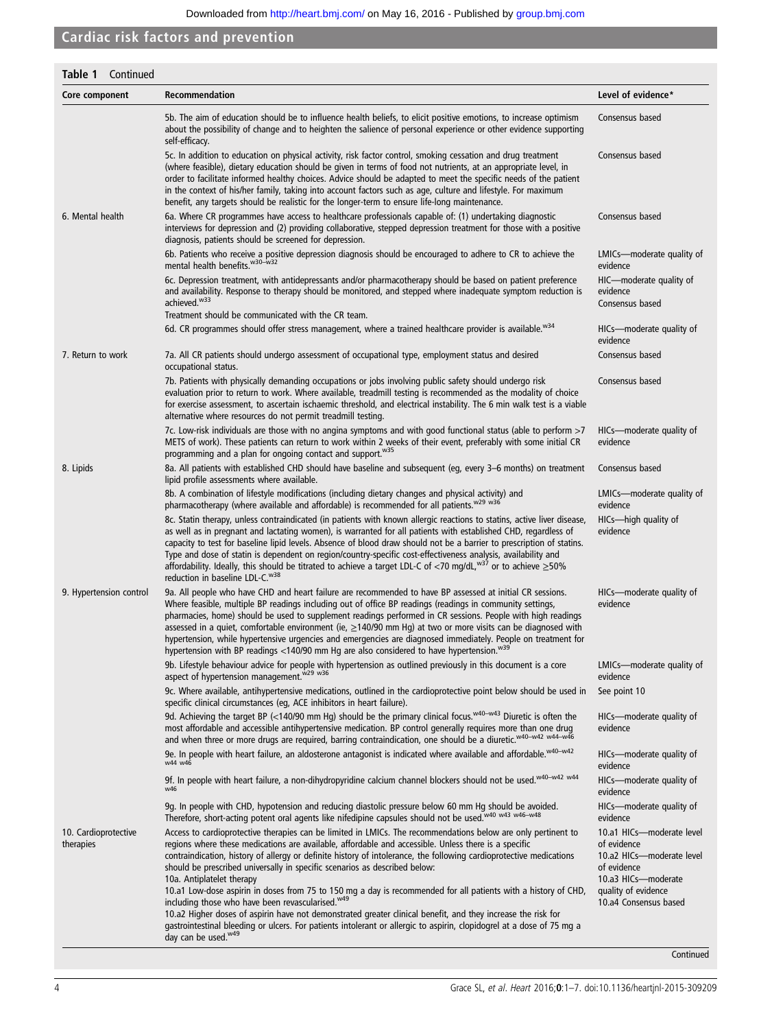| Table 1 Continued                 |                                                                                                                                                                                                                                                                                                                                                                                                                                                                                                                                                                                                                                                                                                                                                           |                                                                                                                                                             |  |
|-----------------------------------|-----------------------------------------------------------------------------------------------------------------------------------------------------------------------------------------------------------------------------------------------------------------------------------------------------------------------------------------------------------------------------------------------------------------------------------------------------------------------------------------------------------------------------------------------------------------------------------------------------------------------------------------------------------------------------------------------------------------------------------------------------------|-------------------------------------------------------------------------------------------------------------------------------------------------------------|--|
| Core component                    | Recommendation                                                                                                                                                                                                                                                                                                                                                                                                                                                                                                                                                                                                                                                                                                                                            | Level of evidence*                                                                                                                                          |  |
|                                   | 5b. The aim of education should be to influence health beliefs, to elicit positive emotions, to increase optimism<br>about the possibility of change and to heighten the salience of personal experience or other evidence supporting<br>self-efficacy.                                                                                                                                                                                                                                                                                                                                                                                                                                                                                                   | Consensus based                                                                                                                                             |  |
|                                   | 5c. In addition to education on physical activity, risk factor control, smoking cessation and drug treatment<br>(where feasible), dietary education should be given in terms of food not nutrients, at an appropriate level, in<br>order to facilitate informed healthy choices. Advice should be adapted to meet the specific needs of the patient<br>in the context of his/her family, taking into account factors such as age, culture and lifestyle. For maximum<br>benefit, any targets should be realistic for the longer-term to ensure life-long maintenance.                                                                                                                                                                                     | Consensus based                                                                                                                                             |  |
| 6. Mental health                  | 6a. Where CR programmes have access to healthcare professionals capable of: (1) undertaking diagnostic<br>interviews for depression and (2) providing collaborative, stepped depression treatment for those with a positive<br>diagnosis, patients should be screened for depression.                                                                                                                                                                                                                                                                                                                                                                                                                                                                     | Consensus based                                                                                                                                             |  |
|                                   | 6b. Patients who receive a positive depression diagnosis should be encouraged to adhere to CR to achieve the<br>mental health benefits. W30-W32                                                                                                                                                                                                                                                                                                                                                                                                                                                                                                                                                                                                           | LMICs—moderate quality of<br>evidence                                                                                                                       |  |
|                                   | 6c. Depression treatment, with antidepressants and/or pharmacotherapy should be based on patient preference<br>and availability. Response to therapy should be monitored, and stepped where inadequate symptom reduction is<br>achieved. <sup>w33</sup>                                                                                                                                                                                                                                                                                                                                                                                                                                                                                                   | HIC—moderate quality of<br>evidence<br>Consensus based                                                                                                      |  |
|                                   | Treatment should be communicated with the CR team.<br>6d. CR programmes should offer stress management, where a trained healthcare provider is available. <sup>w34</sup>                                                                                                                                                                                                                                                                                                                                                                                                                                                                                                                                                                                  | HICs-moderate quality of                                                                                                                                    |  |
|                                   |                                                                                                                                                                                                                                                                                                                                                                                                                                                                                                                                                                                                                                                                                                                                                           | evidence                                                                                                                                                    |  |
| 7. Return to work                 | 7a. All CR patients should undergo assessment of occupational type, employment status and desired<br>occupational status.                                                                                                                                                                                                                                                                                                                                                                                                                                                                                                                                                                                                                                 | Consensus based                                                                                                                                             |  |
|                                   | 7b. Patients with physically demanding occupations or jobs involving public safety should undergo risk<br>evaluation prior to return to work. Where available, treadmill testing is recommended as the modality of choice<br>for exercise assessment, to ascertain ischaemic threshold, and electrical instability. The 6 min walk test is a viable<br>alternative where resources do not permit treadmill testing.                                                                                                                                                                                                                                                                                                                                       | Consensus based                                                                                                                                             |  |
|                                   | 7c. Low-risk individuals are those with no angina symptoms and with good functional status (able to perform >7<br>METS of work). These patients can return to work within 2 weeks of their event, preferably with some initial CR<br>programming and a plan for ongoing contact and support. <sup>w35</sup>                                                                                                                                                                                                                                                                                                                                                                                                                                               | HICs-moderate quality of<br>evidence                                                                                                                        |  |
| 8. Lipids                         | 8a. All patients with established CHD should have baseline and subsequent (eg, every 3-6 months) on treatment<br>lipid profile assessments where available.                                                                                                                                                                                                                                                                                                                                                                                                                                                                                                                                                                                               | Consensus based                                                                                                                                             |  |
|                                   | 8b. A combination of lifestyle modifications (including dietary changes and physical activity) and<br>pharmacotherapy (where available and affordable) is recommended for all patients. <sup>w29 w36</sup>                                                                                                                                                                                                                                                                                                                                                                                                                                                                                                                                                | LMICs—moderate quality of<br>evidence                                                                                                                       |  |
|                                   | 8c. Statin therapy, unless contraindicated (in patients with known allergic reactions to statins, active liver disease,<br>as well as in pregnant and lactating women), is warranted for all patients with established CHD, regardless of<br>capacity to test for baseline lipid levels. Absence of blood draw should not be a barrier to prescription of statins.<br>Type and dose of statin is dependent on region/country-specific cost-effectiveness analysis, availability and<br>affordability. Ideally, this should be titrated to achieve a target LDL-C of <70 mg/dL, $^{w37}$ or to achieve $\geq$ 50%<br>reduction in baseline LDL-C. <sup>w38</sup>                                                                                           | HICs—high quality of<br>evidence                                                                                                                            |  |
| 9. Hypertension control           | 9a. All people who have CHD and heart failure are recommended to have BP assessed at initial CR sessions.<br>Where feasible, multiple BP readings including out of office BP readings (readings in community settings,<br>pharmacies, home) should be used to supplement readings performed in CR sessions. People with high readings<br>assessed in a quiet, comfortable environment (ie, $\geq$ 140/90 mm Hq) at two or more visits can be diagnosed with<br>hypertension, while hypertensive urgencies and emergencies are diagnosed immediately. People on treatment for<br>hypertension with BP readings <140/90 mm Hg are also considered to have hypertension. <sup>w39</sup>                                                                      | HICs-moderate quality of<br>evidence                                                                                                                        |  |
|                                   | 9b. Lifestyle behaviour advice for people with hypertension as outlined previously in this document is a core<br>aspect of hypertension management. <sup>w29 w36</sup>                                                                                                                                                                                                                                                                                                                                                                                                                                                                                                                                                                                    | LMICs—moderate quality of<br>evidence                                                                                                                       |  |
|                                   | 9c. Where available, antihypertensive medications, outlined in the cardioprotective point below should be used in<br>specific clinical circumstances (eg, ACE inhibitors in heart failure).                                                                                                                                                                                                                                                                                                                                                                                                                                                                                                                                                               | See point 10                                                                                                                                                |  |
|                                   | 9d. Achieving the target BP (<140/90 mm Hg) should be the primary clinical focus. <sup>w40-w43</sup> Diuretic is often the<br>most affordable and accessible antihypertensive medication. BP control generally requires more than one drug<br>and when three or more drugs are required, barring contraindication, one should be a diuretic. <sup>w40-w42</sup> w44-w46                                                                                                                                                                                                                                                                                                                                                                                   | HICs-moderate quality of<br>evidence                                                                                                                        |  |
|                                   | 9e. In people with heart failure, an aldosterone antagonist is indicated where available and affordable. <sup>w40-w42</sup><br>w44 w46                                                                                                                                                                                                                                                                                                                                                                                                                                                                                                                                                                                                                    | HICs-moderate quality of<br>evidence                                                                                                                        |  |
|                                   | 9f. In people with heart failure, a non-dihydropyridine calcium channel blockers should not be used. w40-w42 w44<br>w46                                                                                                                                                                                                                                                                                                                                                                                                                                                                                                                                                                                                                                   | HICs-moderate quality of<br>evidence                                                                                                                        |  |
|                                   | 9g. In people with CHD, hypotension and reducing diastolic pressure below 60 mm Hg should be avoided.<br>Therefore, short-acting potent oral agents like nifedipine capsules should not be used. <sup>w40 w43 w46-w48</sup>                                                                                                                                                                                                                                                                                                                                                                                                                                                                                                                               | HICs—moderate quality of<br>evidence                                                                                                                        |  |
| 10. Cardioprotective<br>therapies | Access to cardioprotective therapies can be limited in LMICs. The recommendations below are only pertinent to<br>regions where these medications are available, affordable and accessible. Unless there is a specific<br>contraindication, history of allergy or definite history of intolerance, the following cardioprotective medications<br>should be prescribed universally in specific scenarios as described below:<br>10a. Antiplatelet therapy<br>10.a1 Low-dose aspirin in doses from 75 to 150 mg a day is recommended for all patients with a history of CHD,<br>including those who have been revascularised. <sup>w49</sup><br>10.a2 Higher doses of aspirin have not demonstrated greater clinical benefit, and they increase the risk for | 10.a1 HICs-moderate level<br>of evidence<br>10.a2 HICs-moderate level<br>of evidence<br>10.a3 HICs-moderate<br>quality of evidence<br>10.a4 Consensus based |  |
|                                   | gastrointestinal bleeding or ulcers. For patients intolerant or allergic to aspirin, clopidogrel at a dose of 75 mg a<br>day can be used. <sup>w49</sup>                                                                                                                                                                                                                                                                                                                                                                                                                                                                                                                                                                                                  |                                                                                                                                                             |  |

**Continued**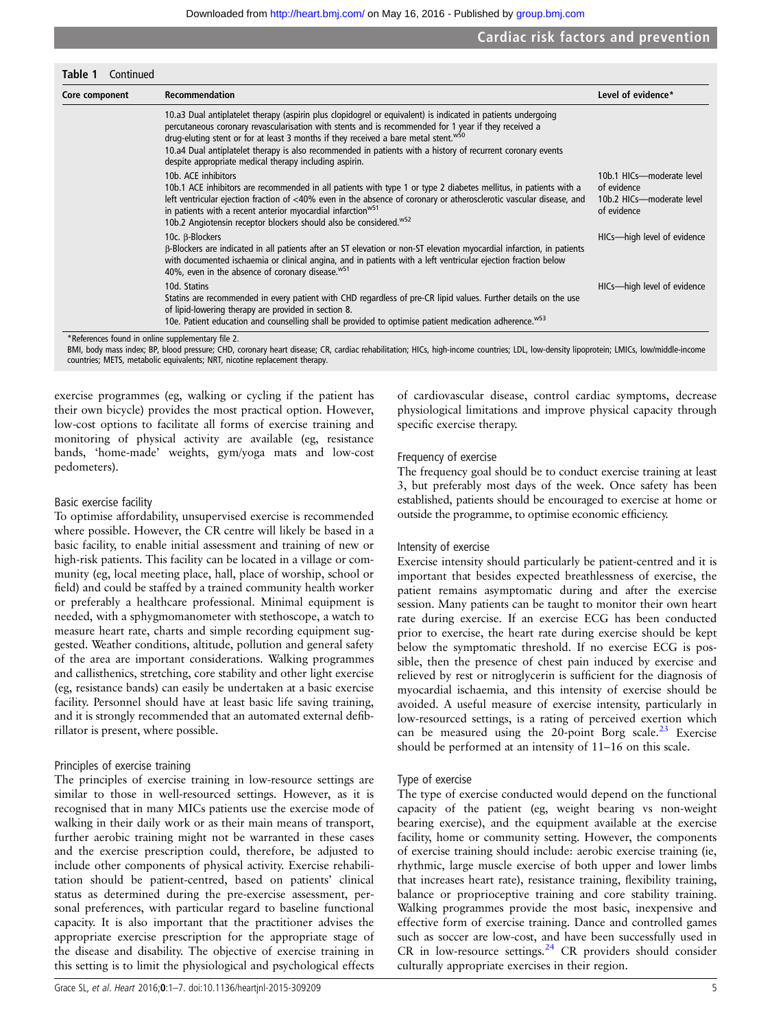| Core component | <b>Recommendation</b>                                                                                                                                                                                                                                                                                                                                                                                                                                                                            | Level of evidence*                                                                   |
|----------------|--------------------------------------------------------------------------------------------------------------------------------------------------------------------------------------------------------------------------------------------------------------------------------------------------------------------------------------------------------------------------------------------------------------------------------------------------------------------------------------------------|--------------------------------------------------------------------------------------|
|                | 10.a3 Dual antiplatelet therapy (aspirin plus clopidogrel or equivalent) is indicated in patients undergoing<br>percutaneous coronary revascularisation with stents and is recommended for 1 year if they received a<br>drug-eluting stent or for at least 3 months if they received a bare metal stent. <sup>w50</sup><br>10.a4 Dual antiplatelet therapy is also recommended in patients with a history of recurrent coronary events<br>despite appropriate medical therapy including aspirin. |                                                                                      |
|                | 10b. ACE inhibitors<br>10b.1 ACE inhibitors are recommended in all patients with type 1 or type 2 diabetes mellitus, in patients with a<br>left ventricular ejection fraction of <40% even in the absence of coronary or atherosclerotic vascular disease, and<br>in patients with a recent anterior myocardial infarction <sup>w51</sup><br>10b.2 Angiotensin receptor blockers should also be considered. <sup>w52</sup>                                                                       | 10b.1 HICs-moderate level<br>of evidence<br>10b.2 HICs-moderate level<br>of evidence |
|                | 10c. B-Blockers<br>β-Blockers are indicated in all patients after an ST elevation or non-ST elevation myocardial infarction, in patients<br>with documented ischaemia or clinical angina, and in patients with a left ventricular ejection fraction below<br>40%, even in the absence of coronary disease. <sup>1051</sup>                                                                                                                                                                       | HICs-high level of evidence                                                          |
|                | 10d. Statins<br>Statins are recommended in every patient with CHD regardless of pre-CR lipid values. Further details on the use<br>of lipid-lowering therapy are provided in section 8.<br>10e. Patient education and counselling shall be provided to optimise patient medication adherence. <sup>w53</sup>                                                                                                                                                                                     | HICs-high level of evidence                                                          |

\*References found in online supplementary file 2.<br>BMI, body mass index; BP, blood pressure; CHD, coronary heart disease; CR, cardiac rehabilitation; HICs, high-income countries; LDL, low-density lipoprotein; LMICs, low/mid countries; METS, metabolic equivalents; NRT, nicotine replacement therapy.

exercise programmes (eg, walking or cycling if the patient has their own bicycle) provides the most practical option. However, low-cost options to facilitate all forms of exercise training and monitoring of physical activity are available (eg, resistance bands, 'home-made' weights, gym/yoga mats and low-cost pedometers).

#### Basic exercise facility

To optimise affordability, unsupervised exercise is recommended where possible. However, the CR centre will likely be based in a basic facility, to enable initial assessment and training of new or high-risk patients. This facility can be located in a village or community (eg, local meeting place, hall, place of worship, school or field) and could be staffed by a trained community health worker or preferably a healthcare professional. Minimal equipment is needed, with a sphygmomanometer with stethoscope, a watch to measure heart rate, charts and simple recording equipment suggested. Weather conditions, altitude, pollution and general safety of the area are important considerations. Walking programmes and callisthenics, stretching, core stability and other light exercise (eg, resistance bands) can easily be undertaken at a basic exercise facility. Personnel should have at least basic life saving training, and it is strongly recommended that an automated external defibrillator is present, where possible.

# Principles of exercise training

The principles of exercise training in low-resource settings are similar to those in well-resourced settings. However, as it is recognised that in many MICs patients use the exercise mode of walking in their daily work or as their main means of transport, further aerobic training might not be warranted in these cases and the exercise prescription could, therefore, be adjusted to include other components of physical activity. Exercise rehabilitation should be patient-centred, based on patients' clinical status as determined during the pre-exercise assessment, personal preferences, with particular regard to baseline functional capacity. It is also important that the practitioner advises the appropriate exercise prescription for the appropriate stage of the disease and disability. The objective of exercise training in this setting is to limit the physiological and psychological effects

of cardiovascular disease, control cardiac symptoms, decrease physiological limitations and improve physical capacity through specific exercise therapy.

#### Frequency of exercise

The frequency goal should be to conduct exercise training at least 3, but preferably most days of the week. Once safety has been established, patients should be encouraged to exercise at home or outside the programme, to optimise economic efficiency.

#### Intensity of exercise

Exercise intensity should particularly be patient-centred and it is important that besides expected breathlessness of exercise, the patient remains asymptomatic during and after the exercise session. Many patients can be taught to monitor their own heart rate during exercise. If an exercise ECG has been conducted prior to exercise, the heart rate during exercise should be kept below the symptomatic threshold. If no exercise ECG is possible, then the presence of chest pain induced by exercise and relieved by rest or nitroglycerin is sufficient for the diagnosis of myocardial ischaemia, and this intensity of exercise should be avoided. A useful measure of exercise intensity, particularly in low-resourced settings, is a rating of perceived exertion which can be measured using the 20-point Borg scale.<sup>[23](#page-6-0)</sup> Exercise should be performed at an intensity of 11–16 on this scale.

#### Type of exercise

The type of exercise conducted would depend on the functional capacity of the patient (eg, weight bearing vs non-weight bearing exercise), and the equipment available at the exercise facility, home or community setting. However, the components of exercise training should include: aerobic exercise training (ie, rhythmic, large muscle exercise of both upper and lower limbs that increases heart rate), resistance training, flexibility training, balance or proprioceptive training and core stability training. Walking programmes provide the most basic, inexpensive and effective form of exercise training. Dance and controlled games such as soccer are low-cost, and have been successfully used in CR in low-resource settings. $24$  CR providers should consider culturally appropriate exercises in their region.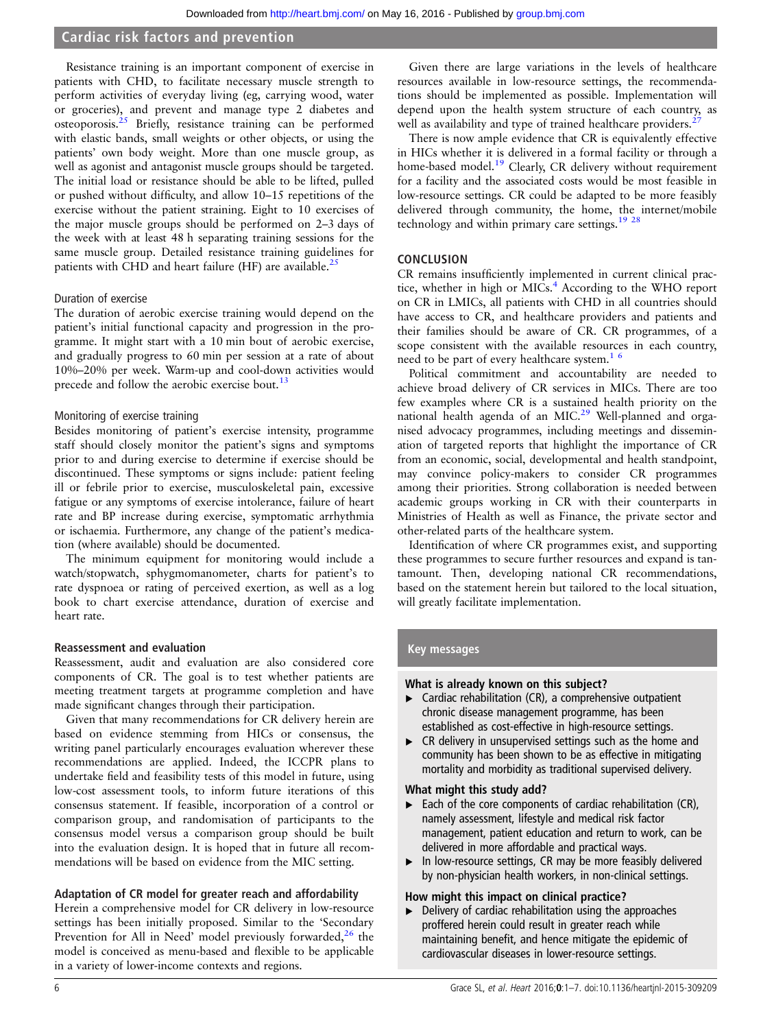Resistance training is an important component of exercise in patients with CHD, to facilitate necessary muscle strength to perform activities of everyday living (eg, carrying wood, water or groceries), and prevent and manage type 2 diabetes and osteoporosis.<sup>[25](#page-6-0)</sup> Briefly, resistance training can be performed with elastic bands, small weights or other objects, or using the patients' own body weight. More than one muscle group, as well as agonist and antagonist muscle groups should be targeted. The initial load or resistance should be able to be lifted, pulled or pushed without difficulty, and allow 10–15 repetitions of the exercise without the patient straining. Eight to 10 exercises of the major muscle groups should be performed on 2–3 days of the week with at least 48 h separating training sessions for the same muscle group. Detailed resistance training guidelines for patients with CHD and heart failure (HF) are available. $^{25}$  $^{25}$  $^{25}$ 

#### Duration of exercise

The duration of aerobic exercise training would depend on the patient's initial functional capacity and progression in the programme. It might start with a 10 min bout of aerobic exercise, and gradually progress to 60 min per session at a rate of about 10%–20% per week. Warm-up and cool-down activities would precede and follow the aerobic exercise bout.<sup>13</sup>

# Monitoring of exercise training

Besides monitoring of patient's exercise intensity, programme staff should closely monitor the patient's signs and symptoms prior to and during exercise to determine if exercise should be discontinued. These symptoms or signs include: patient feeling ill or febrile prior to exercise, musculoskeletal pain, excessive fatigue or any symptoms of exercise intolerance, failure of heart rate and BP increase during exercise, symptomatic arrhythmia or ischaemia. Furthermore, any change of the patient's medication (where available) should be documented.

The minimum equipment for monitoring would include a watch/stopwatch, sphygmomanometer, charts for patient's to rate dyspnoea or rating of perceived exertion, as well as a log book to chart exercise attendance, duration of exercise and heart rate.

#### Reassessment and evaluation

Reassessment, audit and evaluation are also considered core components of CR. The goal is to test whether patients are meeting treatment targets at programme completion and have made significant changes through their participation.

Given that many recommendations for CR delivery herein are based on evidence stemming from HICs or consensus, the writing panel particularly encourages evaluation wherever these recommendations are applied. Indeed, the ICCPR plans to undertake field and feasibility tests of this model in future, using low-cost assessment tools, to inform future iterations of this consensus statement. If feasible, incorporation of a control or comparison group, and randomisation of participants to the consensus model versus a comparison group should be built into the evaluation design. It is hoped that in future all recommendations will be based on evidence from the MIC setting.

# Adaptation of CR model for greater reach and affordability

Herein a comprehensive model for CR delivery in low-resource settings has been initially proposed. Similar to the 'Secondary Prevention for All in Need' model previously forwarded, $^{26}$  $^{26}$  $^{26}$  the model is conceived as menu-based and flexible to be applicable in a variety of lower-income contexts and regions.

Given there are large variations in the levels of healthcare resources available in low-resource settings, the recommendations should be implemented as possible. Implementation will depend upon the health system structure of each country, as well as availability and type of trained healthcare providers.<sup>2</sup>

There is now ample evidence that CR is equivalently effective in HICs whether it is delivered in a formal facility or through a home-based model.<sup>[19](#page-6-0)</sup> Clearly, CR delivery without requirement for a facility and the associated costs would be most feasible in low-resource settings. CR could be adapted to be more feasibly delivered through community, the home, the internet/mobile technology and within primary care settings.<sup>[19 28](#page-6-0)</sup>

# **CONCLUSION**

CR remains insufficiently implemented in current clinical prac-tice, whether in high or MICs.<sup>[4](#page-6-0)</sup> According to the WHO report on CR in LMICs, all patients with CHD in all countries should have access to CR, and healthcare providers and patients and their families should be aware of CR. CR programmes, of a scope consistent with the available resources in each country, need to be part of every healthcare system. $1<sup>6</sup>$ 

Political commitment and accountability are needed to achieve broad delivery of CR services in MICs. There are too few examples where CR is a sustained health priority on the national health agenda of an MIC.<sup>29</sup> Well-planned and organised advocacy programmes, including meetings and dissemination of targeted reports that highlight the importance of CR from an economic, social, developmental and health standpoint, may convince policy-makers to consider CR programmes among their priorities. Strong collaboration is needed between academic groups working in CR with their counterparts in Ministries of Health as well as Finance, the private sector and other-related parts of the healthcare system.

Identification of where CR programmes exist, and supporting these programmes to secure further resources and expand is tantamount. Then, developing national CR recommendations, based on the statement herein but tailored to the local situation, will greatly facilitate implementation.

# Key messages

#### What is already known on this subject?

- ▸ Cardiac rehabilitation (CR), a comprehensive outpatient chronic disease management programme, has been established as cost-effective in high-resource settings.
- $\triangleright$  CR delivery in unsupervised settings such as the home and community has been shown to be as effective in mitigating mortality and morbidity as traditional supervised delivery.

#### What might this study add?

- $\blacktriangleright$  Each of the core components of cardiac rehabilitation (CR), namely assessment, lifestyle and medical risk factor management, patient education and return to work, can be delivered in more affordable and practical ways.
- ▸ In low-resource settings, CR may be more feasibly delivered by non-physician health workers, in non-clinical settings.

#### How might this impact on clinical practice?

 $\triangleright$  Delivery of cardiac rehabilitation using the approaches proffered herein could result in greater reach while maintaining benefit, and hence mitigate the epidemic of cardiovascular diseases in lower-resource settings.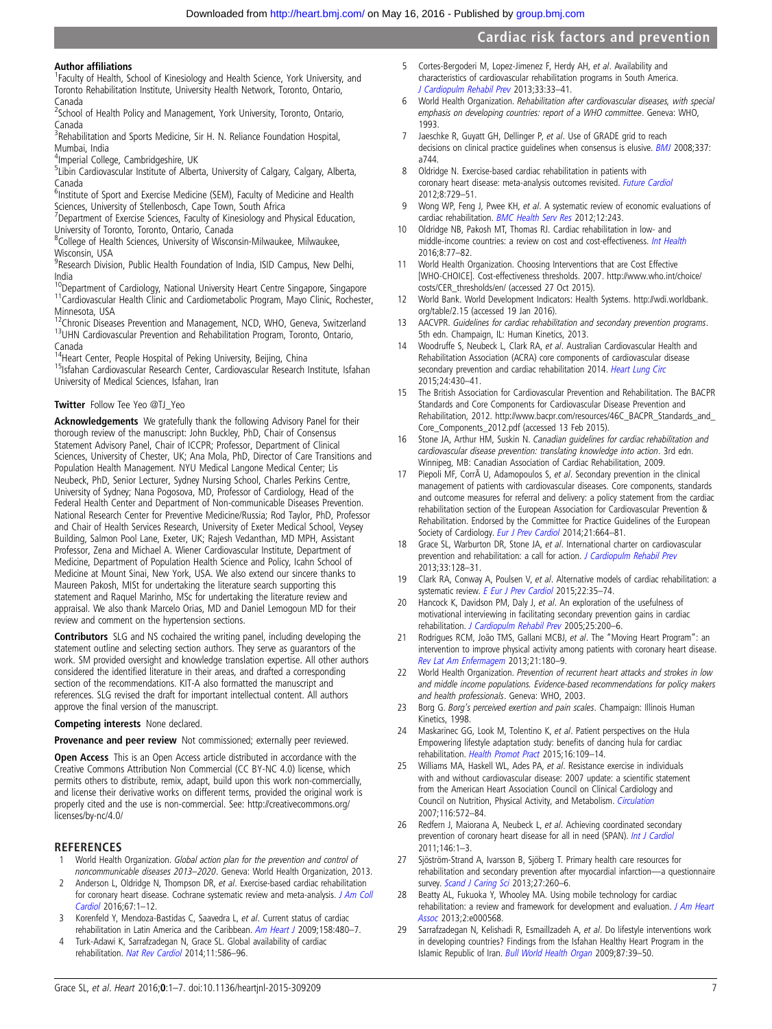#### <span id="page-6-0"></span>Author affiliations <sup>1</sup>

<sup>1</sup> Faculty of Health, School of Kinesiology and Health Science, York University, and Toronto Rehabilitation Institute, University Health Network, Toronto, Ontario, Canada

<sup>2</sup>School of Health Policy and Management, York University, Toronto, Ontario, Canada

<sup>3</sup> Rehabilitation and Sports Medicine, Sir H. N. Reliance Foundation Hospital, Mumbai, India

4 Imperial College, Cambridgeshire, UK

<sup>5</sup>Libin Cardiovascular Institute of Alberta, University of Calgary, Calgary, Alberta, Canada

<sup>6</sup>Institute of Sport and Exercise Medicine (SEM), Faculty of Medicine and Health Sciences, University of Stellenbosch, Cape Town, South Africa

<sup>7</sup> Department of Exercise Sciences, Faculty of Kinesiology and Physical Education, University of Toronto, Toronto, Ontario, Canada

<sup>8</sup>College of Health Sciences, University of Wisconsin-Milwaukee, Milwaukee, Wisconsin, USA

<sup>9</sup>Research Division, Public Health Foundation of India, ISID Campus, New Delhi,

India<br><sup>10</sup>Department of Cardiology, National University Heart Centre Singapore, Singapore <sup>11</sup>Cardiovascular Health Clinic and Cardiometabolic Program, Mayo Clinic, Rochester, Minnesota, USA<br><sup>12</sup>Chronic Diseases Prevention and Management, NCD, WHO, Geneva, Switzerland

<sup>13</sup>UHN Cardiovascular Prevention and Rehabilitation Program, Toronto, Ontario, Canada<br><sup>14</sup>Heart Center, People Hospital of Peking University, Beijing, China

<sup>15</sup>Isfahan Cardiovascular Research Center, Cardiovascular Research Institute, Isfahan University of Medical Sciences, Isfahan, Iran

#### Twitter Follow Tee Yeo [@TJ\\_Yeo](http://twitter.com/TJ_Yeo)

Acknowledgements We gratefully thank the following Advisory Panel for their thorough review of the manuscript: John Buckley, PhD, Chair of Consensus Statement Advisory Panel, Chair of ICCPR; Professor, Department of Clinical Sciences, University of Chester, UK; Ana Mola, PhD, Director of Care Transitions and Population Health Management. NYU Medical Langone Medical Center; Lis Neubeck, PhD, Senior Lecturer, Sydney Nursing School, Charles Perkins Centre, University of Sydney; Nana Pogosova, MD, Professor of Cardiology, Head of the Federal Health Center and Department of Non-communicable Diseases Prevention. National Research Center for Preventive Medicine/Russia; Rod Taylor, PhD, Professor and Chair of Health Services Research, University of Exeter Medical School, Veysey Building, Salmon Pool Lane, Exeter, UK; Rajesh Vedanthan, MD MPH, Assistant Professor, Zena and Michael A. Wiener Cardiovascular Institute, Department of Medicine, Department of Population Health Science and Policy, Icahn School of Medicine at Mount Sinai, New York, USA. We also extend our sincere thanks to Maureen Pakosh, MISt for undertaking the literature search supporting this statement and Raquel Marinho, MSc for undertaking the literature review and appraisal. We also thank Marcelo Orias, MD and Daniel Lemogoun MD for their review and comment on the hypertension sections.

Contributors SLG and NS cochaired the writing panel, including developing the statement outline and selecting section authors. They serve as guarantors of the work. SM provided oversight and knowledge translation expertise. All other authors considered the identified literature in their areas, and drafted a corresponding section of the recommendations. KIT-A also formatted the manuscript and references. SLG revised the draft for important intellectual content. All authors approve the final version of the manuscript.

#### Competing interests None declared.

Provenance and peer review Not commissioned; externally peer reviewed.

Open Access This is an Open Access article distributed in accordance with the Creative Commons Attribution Non Commercial (CC BY-NC 4.0) license, which permits others to distribute, remix, adapt, build upon this work non-commercially, and license their derivative works on different terms, provided the original work is properly cited and the use is non-commercial. See: [http://creativecommons.org/](http://creativecommons.org/licenses/by-nc/4.0/) [licenses/by-nc/4.0/](http://creativecommons.org/licenses/by-nc/4.0/)

#### REFERENCES

- World Health Organization. Global action plan for the prevention and control of noncommunicable diseases 2013–2020. Geneva: World Health Organization, 2013.
- 2 Anderson L, Oldridge N, Thompson DR, et al. Exercise-based cardiac rehabilitation for coronary heart disease. Cochrane systematic review and meta-analysis. [J Am Coll](http://dx.doi.org/10.1016/j.jacc.2015.10.044) [Cardiol](http://dx.doi.org/10.1016/j.jacc.2015.10.044) 2016;67:1–12.
- 3 Korenfeld Y, Mendoza-Bastidas C, Saavedra L, et al. Current status of cardiac rehabilitation in Latin America and the Caribbean. [Am Heart J](http://dx.doi.org/10.1016/j.ahj.2009.06.020) 2009;158:480-7.
- 4 Turk-Adawi K, Sarrafzadegan N, Grace SL. Global availability of cardiac rehabilitation. [Nat Rev Cardiol](http://dx.doi.org/10.1038/nrcardio.2014.98) 2014;11:586–96.
- 5 Cortes-Bergoderi M, Lopez-Jimenez F, Herdy AH, et al. Availability and characteristics of cardiovascular rehabilitation programs in South America. [J Cardiopulm Rehabil Prev](http://dx.doi.org/10.1097/HCR.0b013e318272153e) 2013;33:33–41.
- 6 World Health Organization. Rehabilitation after cardiovascular diseases, with special emphasis on developing countries: report of a WHO committee. Geneva: WHO, 1993.
- 7 Jaeschke R, Guyatt GH, Dellinger P, et al. Use of GRADE grid to reach decisions on clinical practice quidelines when consensus is elusive. **[BMJ](http://dx.doi.org/10.1136/bmj.a744)** 2008;337: a744.
- Oldridge N. Exercise-based cardiac rehabilitation in patients with coronary heart disease: meta-analysis outcomes revisited. [Future Cardiol](http://dx.doi.org/10.2217/fca.12.34) 2012;8:729–51.
- 9 Wong WP, Feng J, Pwee KH, et al. A systematic review of economic evaluations of cardiac rehabilitation. [BMC Health Serv Res](http://dx.doi.org/10.1186/1472-6963-12-243) 2012;12:243.
- 10 Oldridge NB, Pakosh MT, Thomas RJ. Cardiac rehabilitation in low- and middle-income countries: a review on cost and cost-effectiveness. [Int Health](http://dx.doi.org/10.1093/inthealth/ihv047) 2016;8:77–82.
- 11 World Health Organization. Choosing Interventions that are Cost Effective [WHO-CHOICE]. Cost-effectiveness thresholds. 2007. [http://www.who.int/choice/](http://www.who.int/choice/costs/CER_thresholds/en/) [costs/CER\\_thresholds/en/](http://www.who.int/choice/costs/CER_thresholds/en/) (accessed 27 Oct 2015).
- 12 World Bank. World Development Indicators: Health Systems. [http://wdi.worldbank.](http://wdi.worldbank.org/table/2.15) [org/table/2.15](http://wdi.worldbank.org/table/2.15) (accessed 19 Jan 2016).
- 13 AACVPR. Guidelines for cardiac rehabilitation and secondary prevention programs. 5th edn. Champaign, IL: Human Kinetics, 2013.
- 14 Woodruffe S, Neubeck L, Clark RA, et al. Australian Cardiovascular Health and Rehabilitation Association (ACRA) core components of cardiovascular disease secondary prevention and cardiac rehabilitation 2014. [Heart Lung Circ](http://dx.doi.org/10.1016/j.hlc.2014.12.008) 2015;24:430–41.
- 15 The British Association for Cardiovascular Prevention and Rehabilitation. The BACPR Standards and Core Components for Cardiovascular Disease Prevention and Rehabilitation, 2012. [http://www.bacpr.com/resources/46C\\_BACPR\\_Standards\\_and\\_](http://www.bacpr.com/resources/46C_BACPR_Standards_and_Core_Components_2012.pdf) [Core\\_Components\\_2012.pdf](http://www.bacpr.com/resources/46C_BACPR_Standards_and_Core_Components_2012.pdf) (accessed 13 Feb 2015).
- 16 Stone JA, Arthur HM, Suskin N. Canadian guidelines for cardiac rehabilitation and cardiovascular disease prevention: translating knowledge into action. 3rd edn. Winnipeg, MB: Canadian Association of Cardiac Rehabilitation, 2009.
- 17 Piepoli MF, Corrà U, Adamopoulos S, et al. Secondary prevention in the clinical management of patients with cardiovascular diseases. Core components, standards and outcome measures for referral and delivery: a policy statement from the cardiac rehabilitation section of the European Association for Cardiovascular Prevention & Rehabilitation. Endorsed by the Committee for Practice Guidelines of the European Society of Cardiology. [Eur J Prev Cardiol](http://dx.doi.org/10.1177/2047487312449597) 2014;21:664-81.
- 18 Grace SL, Warburton DR, Stone JA, et al. International charter on cardiovascular prevention and rehabilitation: a call for action. [J Cardiopulm Rehabil Prev](http://dx.doi.org/10.1097/HCR.0b013e318284ec82) 2013;33:128–31.
- 19 Clark RA, Conway A, Poulsen V, et al. Alternative models of cardiac rehabilitation: a systematic review. [E Eur J Prev Cardiol](http://dx.doi.org/10.1177/2047487313501093) 2015;22:35-74.
- 20 Hancock K, Davidson PM, Daly J, et al. An exploration of the usefulness of motivational interviewing in facilitating secondary prevention gains in cardiac rehabilitation. [J Cardiopulm Rehabil Prev](http://dx.doi.org/10.1097/00008483-200507000-00004) 2005;25:200-6.
- 21 Rodrigues RCM, João TMS, Gallani MCBJ, et al. The "Moving Heart Program": an intervention to improve physical activity among patients with coronary heart disease. [Rev Lat Am Enfermagem](http://dx.doi.org/10.1590/S0104-11692013000700023) 2013;21:180–9.
- 22 World Health Organization. Prevention of recurrent heart attacks and strokes in low and middle income populations. Evidence-based recommendations for policy makers and health professionals. Geneva: WHO, 2003.
- 23 Borg G. Borg's perceived exertion and pain scales. Champaign: Illinois Human Kinetics, 1998.
- 24 Maskarinec GG, Look M, Tolentino K, et al. Patient perspectives on the Hula Empowering lifestyle adaptation study: benefits of dancing hula for cardiac rehabilitation. [Health Promot Pract](http://dx.doi.org/10.1177/1524839914527451) 2015;16:109-14.
- 25 Williams MA, Haskell WL, Ades PA, et al. Resistance exercise in individuals with and without cardiovascular disease: 2007 update: a scientific statement from the American Heart Association Council on Clinical Cardiology and Council on Nutrition, Physical Activity, and Metabolism. [Circulation](http://dx.doi.org/10.1161/CIRCULATIONAHA.107.185214) 2007;116:572–84.
- 26 Redfern J, Maiorana A, Neubeck L, et al. Achieving coordinated secondary prevention of coronary heart disease for all in need (SPAN). [Int J Cardiol](http://dx.doi.org/10.1016/j.ijcard.2010.08.046) 2011;146:1–3.
- 27 Sjöström-Strand A, Ivarsson B, Sjöberg T. Primary health care resources for rehabilitation and secondary prevention after myocardial infarction—a questionnaire survey. [Scand J Caring Sci](http://dx.doi.org/10.1111/j.1471-6712.2012.01025.x) 2013;27:260-6.
- 28 Beatty AL, Fukuoka Y, Whooley MA. Using mobile technology for cardiac rehabilitation: a review and framework for development and evaluation. [J Am Heart](http://dx.doi.org/10.1161/JAHA.113.000568) [Assoc](http://dx.doi.org/10.1161/JAHA.113.000568) 2013;2:e000568.
- 29 Sarrafzadegan N, Kelishadi R, Esmaillzadeh A, et al. Do lifestyle interventions work in developing countries? Findings from the Isfahan Healthy Heart Program in the Islamic Republic of Iran. [Bull World Health Organ](http://dx.doi.org/10.2471/BLT.07.049841) 2009;87:39–50.